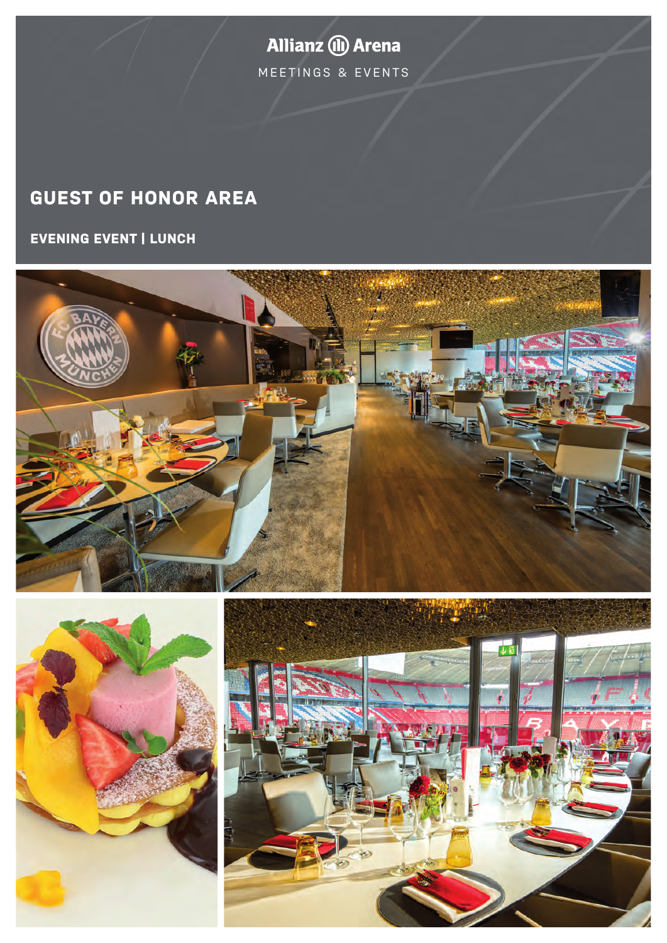**Allianz (II) Arena** MEETINGS & EVENTS

# **GUEST OF HONOR AREA**

**EVENING EVENT | LUNCH**